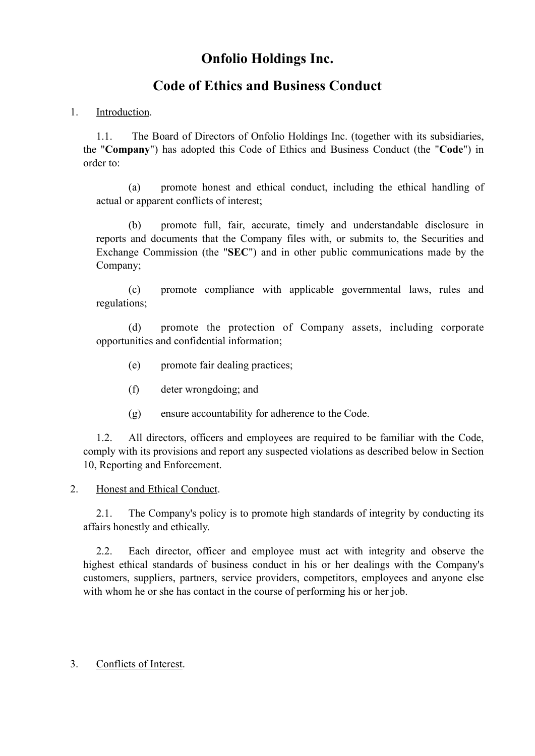# **Onfolio Holdings Inc.**

## **Code of Ethics and Business Conduct**

### 1. **Introduction**.

1.1. The Board of Directors of Onfolio Holdings Inc. (together with its subsidiaries, the "**Company**") has adopted this Code of Ethics and Business Conduct (the "**Code**") in order to:

(a) promote honest and ethical conduct, including the ethical handling of actual or apparent conflicts of interest;

(b) promote full, fair, accurate, timely and understandable disclosure in reports and documents that the Company files with, or submits to, the Securities and Exchange Commission (the "**SEC**") and in other public communications made by the Company;

(c) promote compliance with applicable governmental laws, rules and regulations;

(d) promote the protection of Company assets, including corporate opportunities and confidential information;

- (e) promote fair dealing practices;
- (f) deter wrongdoing; and
- (g) ensure accountability for adherence to the Code.

1.2. All directors, officers and employees are required to be familiar with the Code, comply with its provisions and report any suspected violations as described below in Section 10, Reporting and Enforcement.

### 2. Honest and Ethical Conduct.

2.1. The Company's policy is to promote high standards of integrity by conducting its affairs honestly and ethically.

2.2. Each director, officer and employee must act with integrity and observe the highest ethical standards of business conduct in his or her dealings with the Company's customers, suppliers, partners, service providers, competitors, employees and anyone else with whom he or she has contact in the course of performing his or her job.

#### 3. Conflicts of Interest.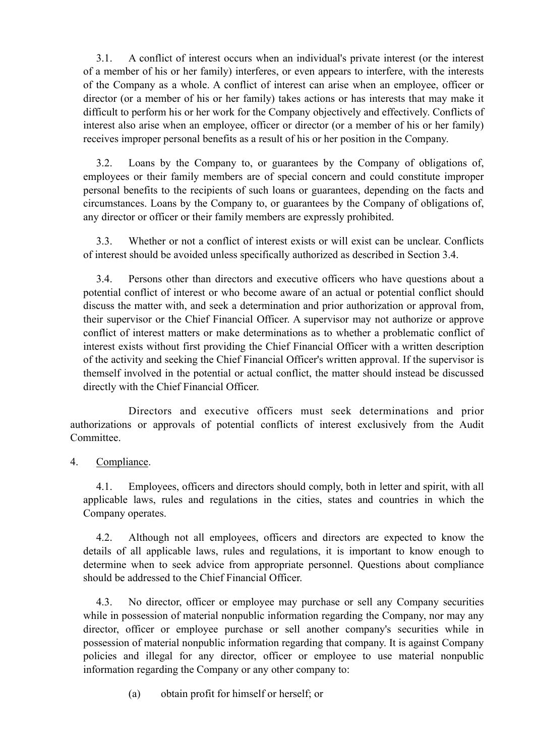3.1. A conflict of interest occurs when an individual's private interest (or the interest of a member of his or her family) interferes, or even appears to interfere, with the interests of the Company as a whole. A conflict of interest can arise when an employee, officer or director (or a member of his or her family) takes actions or has interests that may make it difficult to perform his or her work for the Company objectively and effectively. Conflicts of interest also arise when an employee, officer or director (or a member of his or her family) receives improper personal benefits as a result of his or her position in the Company.

3.2. Loans by the Company to, or guarantees by the Company of obligations of, employees or their family members are of special concern and could constitute improper personal benefits to the recipients of such loans or guarantees, depending on the facts and circumstances. Loans by the Company to, or guarantees by the Company of obligations of, any director or officer or their family members are expressly prohibited.

3.3. Whether or not a conflict of interest exists or will exist can be unclear. Conflicts of interest should be avoided unless specifically authorized as described in Section 3.4.

3.4. Persons other than directors and executive officers who have questions about a potential conflict of interest or who become aware of an actual or potential conflict should discuss the matter with, and seek a determination and prior authorization or approval from, their supervisor or the Chief Financial Officer. A supervisor may not authorize or approve conflict of interest matters or make determinations as to whether a problematic conflict of interest exists without first providing the Chief Financial Officer with a written description of the activity and seeking the Chief Financial Officer's written approval. If the supervisor is themself involved in the potential or actual conflict, the matter should instead be discussed directly with the Chief Financial Officer.

Directors and executive officers must seek determinations and prior authorizations or approvals of potential conflicts of interest exclusively from the Audit Committee.

4. Compliance.

4.1. Employees, officers and directors should comply, both in letter and spirit, with all applicable laws, rules and regulations in the cities, states and countries in which the Company operates.

4.2. Although not all employees, officers and directors are expected to know the details of all applicable laws, rules and regulations, it is important to know enough to determine when to seek advice from appropriate personnel. Questions about compliance should be addressed to the Chief Financial Officer.

4.3. No director, officer or employee may purchase or sell any Company securities while in possession of material nonpublic information regarding the Company, nor may any director, officer or employee purchase or sell another company's securities while in possession of material nonpublic information regarding that company. It is against Company policies and illegal for any director, officer or employee to use material nonpublic information regarding the Company or any other company to:

(a) obtain profit for himself or herself; or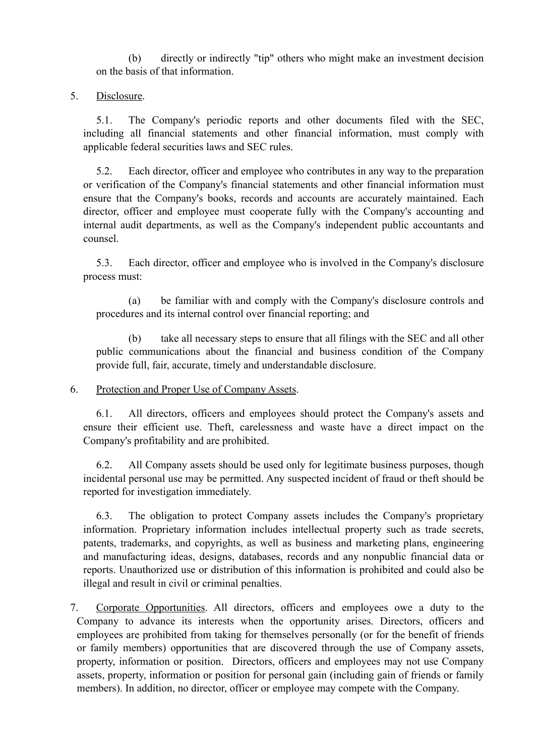(b) directly or indirectly "tip" others who might make an investment decision on the basis of that information.

5. Disclosure.

5.1. The Company's periodic reports and other documents filed with the SEC, including all financial statements and other financial information, must comply with applicable federal securities laws and SEC rules.

5.2. Each director, officer and employee who contributes in any way to the preparation or verification of the Company's financial statements and other financial information must ensure that the Company's books, records and accounts are accurately maintained. Each director, officer and employee must cooperate fully with the Company's accounting and internal audit departments, as well as the Company's independent public accountants and counsel.

5.3. Each director, officer and employee who is involved in the Company's disclosure process must:

(a) be familiar with and comply with the Company's disclosure controls and procedures and its internal control over financial reporting; and

(b) take all necessary steps to ensure that all filings with the SEC and all other public communications about the financial and business condition of the Company provide full, fair, accurate, timely and understandable disclosure.

6. Protection and Proper Use of Company Assets.

6.1. All directors, officers and employees should protect the Company's assets and ensure their efficient use. Theft, carelessness and waste have a direct impact on the Company's profitability and are prohibited.

6.2. All Company assets should be used only for legitimate business purposes, though incidental personal use may be permitted. Any suspected incident of fraud or theft should be reported for investigation immediately.

6.3. The obligation to protect Company assets includes the Company's proprietary information. Proprietary information includes intellectual property such as trade secrets, patents, trademarks, and copyrights, as well as business and marketing plans, engineering and manufacturing ideas, designs, databases, records and any nonpublic financial data or reports. Unauthorized use or distribution of this information is prohibited and could also be illegal and result in civil or criminal penalties.

7. Corporate Opportunities. All directors, officers and employees owe a duty to the Company to advance its interests when the opportunity arises. Directors, officers and employees are prohibited from taking for themselves personally (or for the benefit of friends or family members) opportunities that are discovered through the use of Company assets, property, information or position. Directors, officers and employees may not use Company assets, property, information or position for personal gain (including gain of friends or family members). In addition, no director, officer or employee may compete with the Company.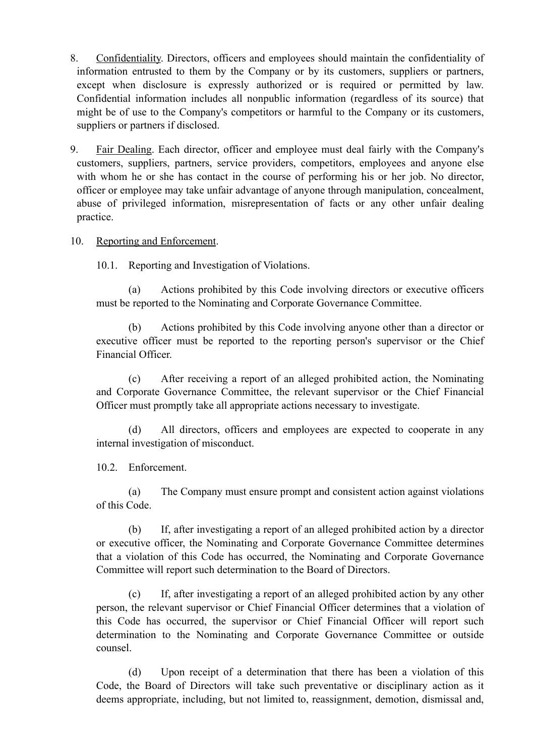- 8. Confidentiality. Directors, officers and employees should maintain the confidentiality of information entrusted to them by the Company or by its customers, suppliers or partners, except when disclosure is expressly authorized or is required or permitted by law. Confidential information includes all nonpublic information (regardless of its source) that might be of use to the Company's competitors or harmful to the Company or its customers, suppliers or partners if disclosed.
- 9. Fair Dealing. Each director, officer and employee must deal fairly with the Company's customers, suppliers, partners, service providers, competitors, employees and anyone else with whom he or she has contact in the course of performing his or her job. No director, officer or employee may take unfair advantage of anyone through manipulation, concealment, abuse of privileged information, misrepresentation of facts or any other unfair dealing practice.
- 10. Reporting and Enforcement.

10.1. Reporting and Investigation of Violations.

(a) Actions prohibited by this Code involving directors or executive officers must be reported to the Nominating and Corporate Governance Committee.

(b) Actions prohibited by this Code involving anyone other than a director or executive officer must be reported to the reporting person's supervisor or the Chief Financial Officer.

(c) After receiving a report of an alleged prohibited action, the Nominating and Corporate Governance Committee, the relevant supervisor or the Chief Financial Officer must promptly take all appropriate actions necessary to investigate.

(d) All directors, officers and employees are expected to cooperate in any internal investigation of misconduct.

10.2. Enforcement.

(a) The Company must ensure prompt and consistent action against violations of this Code.

(b) If, after investigating a report of an alleged prohibited action by a director or executive officer, the Nominating and Corporate Governance Committee determines that a violation of this Code has occurred, the Nominating and Corporate Governance Committee will report such determination to the Board of Directors.

(c) If, after investigating a report of an alleged prohibited action by any other person, the relevant supervisor or Chief Financial Officer determines that a violation of this Code has occurred, the supervisor or Chief Financial Officer will report such determination to the Nominating and Corporate Governance Committee or outside counsel.

(d) Upon receipt of a determination that there has been a violation of this Code, the Board of Directors will take such preventative or disciplinary action as it deems appropriate, including, but not limited to, reassignment, demotion, dismissal and,